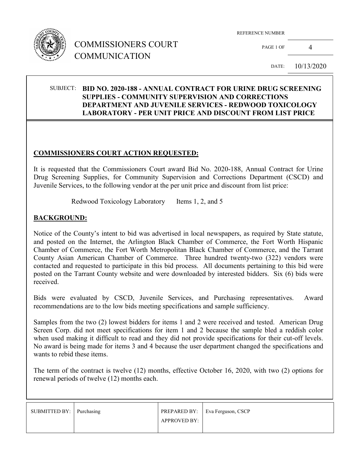

PAGE 1 OF 4

DATE: 10/13/2020

### SUBJECT: **BID NO. 2020-188 - ANNUAL CONTRACT FOR URINE DRUG SCREENING SUPPLIES - COMMUNITY SUPERVISION AND CORRECTIONS DEPARTMENT AND JUVENILE SERVICES - REDWOOD TOXICOLOGY LABORATORY - PER UNIT PRICE AND DISCOUNT FROM LIST PRICE**

#### **COMMISSIONERS COURT ACTION REQUESTED:**

It is requested that the Commissioners Court award Bid No. 2020-188, Annual Contract for Urine Drug Screening Supplies, for Community Supervision and Corrections Department (CSCD) and Juvenile Services, to the following vendor at the per unit price and discount from list price:

Redwood Toxicology Laboratory Items 1, 2, and 5

#### **BACKGROUND:**

Notice of the County's intent to bid was advertised in local newspapers, as required by State statute, and posted on the Internet, the Arlington Black Chamber of Commerce, the Fort Worth Hispanic Chamber of Commerce, the Fort Worth Metropolitan Black Chamber of Commerce, and the Tarrant County Asian American Chamber of Commerce. Three hundred twenty-two (322) vendors were contacted and requested to participate in this bid process. All documents pertaining to this bid were posted on the Tarrant County website and were downloaded by interested bidders. Six (6) bids were received.

Bids were evaluated by CSCD, Juvenile Services, and Purchasing representatives. Award recommendations are to the low bids meeting specifications and sample sufficiency.

Samples from the two (2) lowest bidders for items 1 and 2 were received and tested. American Drug Screen Corp. did not meet specifications for item 1 and 2 because the sample bled a reddish color when used making it difficult to read and they did not provide specifications for their cut-off levels. No award is being made for items 3 and 4 because the user department changed the specifications and wants to rebid these items.

The term of the contract is twelve (12) months, effective October 16, 2020, with two (2) options for renewal periods of twelve (12) months each.

| SUBMITTED BY: Purchasing | <b>APPROVED BY:</b> | PREPARED BY:   Eva Ferguson, CSCP |
|--------------------------|---------------------|-----------------------------------|
|                          |                     |                                   |